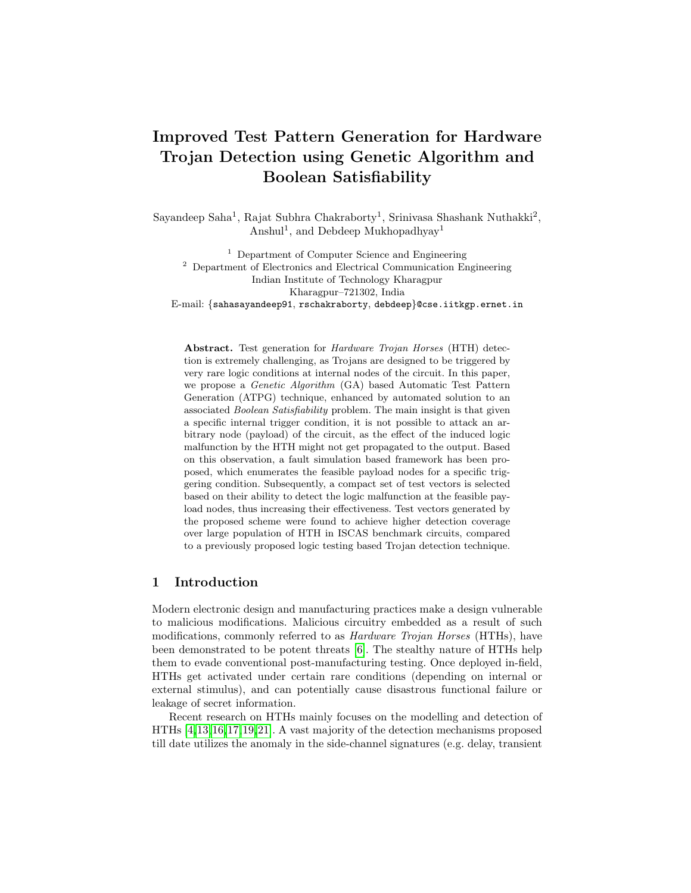# Improved Test Pattern Generation for Hardware Trojan Detection using Genetic Algorithm and Boolean Satisfiability

Sayandeep Saha<sup>1</sup>, Rajat Subhra Chakraborty<sup>1</sup>, Srinivasa Shashank Nuthakki<sup>2</sup>, Anshul<sup>1</sup>, and Debdeep Mukhopadhyay<sup>1</sup>

<sup>1</sup> Department of Computer Science and Engineering <sup>2</sup> Department of Electronics and Electrical Communication Engineering Indian Institute of Technology Kharagpur Kharagpur–721302, India E-mail: {sahasayandeep91, rschakraborty, debdeep}@cse.iitkgp.ernet.in

Abstract. Test generation for Hardware Trojan Horses (HTH) detection is extremely challenging, as Trojans are designed to be triggered by very rare logic conditions at internal nodes of the circuit. In this paper, we propose a Genetic Algorithm (GA) based Automatic Test Pattern Generation (ATPG) technique, enhanced by automated solution to an associated Boolean Satisfiability problem. The main insight is that given a specific internal trigger condition, it is not possible to attack an arbitrary node (payload) of the circuit, as the effect of the induced logic malfunction by the HTH might not get propagated to the output. Based on this observation, a fault simulation based framework has been proposed, which enumerates the feasible payload nodes for a specific triggering condition. Subsequently, a compact set of test vectors is selected based on their ability to detect the logic malfunction at the feasible payload nodes, thus increasing their effectiveness. Test vectors generated by the proposed scheme were found to achieve higher detection coverage over large population of HTH in ISCAS benchmark circuits, compared to a previously proposed logic testing based Trojan detection technique.

# <span id="page-0-0"></span>1 Introduction

Modern electronic design and manufacturing practices make a design vulnerable to malicious modifications. Malicious circuitry embedded as a result of such modifications, commonly referred to as Hardware Trojan Horses (HTHs), have been demonstrated to be potent threats [\[6\]](#page-18-0). The stealthy nature of HTHs help them to evade conventional post-manufacturing testing. Once deployed in-field, HTHs get activated under certain rare conditions (depending on internal or external stimulus), and can potentially cause disastrous functional failure or leakage of secret information.

Recent research on HTHs mainly focuses on the modelling and detection of HTHs [\[4,](#page-18-1)[13,](#page-18-2)[16,](#page-18-3)[17,](#page-18-4)[19,](#page-19-0)[21\]](#page-19-1). A vast majority of the detection mechanisms proposed till date utilizes the anomaly in the side-channel signatures (e.g. delay, transient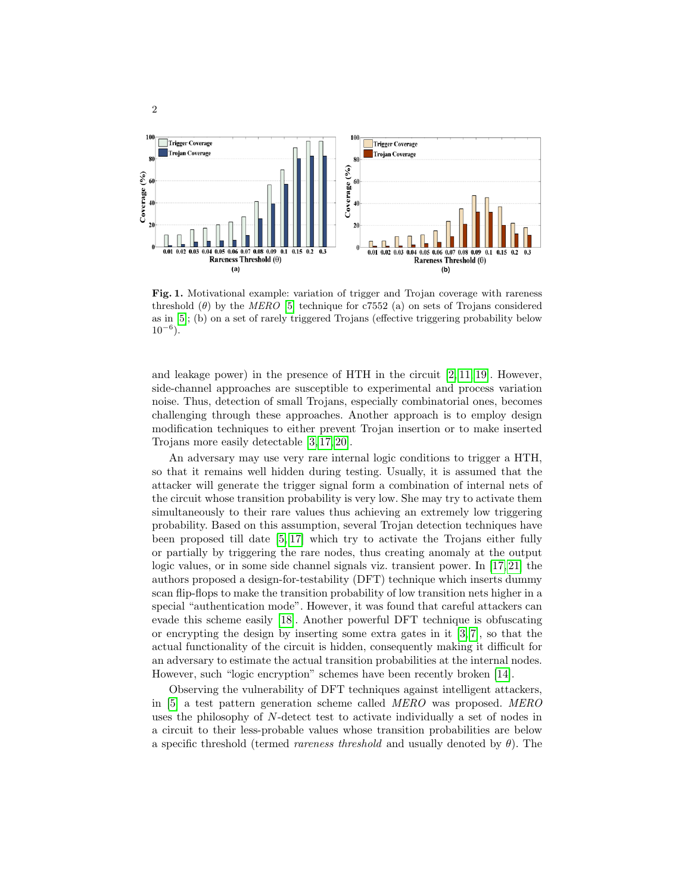

2

<span id="page-1-0"></span>Fig. 1. Motivational example: variation of trigger and Trojan coverage with rareness threshold  $(\theta)$  by the MERO [\[5\]](#page-18-5) technique for c7552 (a) on sets of Trojans considered as in [\[5\]](#page-18-5); (b) on a set of rarely triggered Trojans (effective triggering probability below  $10^{-6}$ ).

and leakage power) in the presence of HTH in the circuit  $[2, 11, 19]$  $[2, 11, 19]$  $[2, 11, 19]$ . However, side-channel approaches are susceptible to experimental and process variation noise. Thus, detection of small Trojans, especially combinatorial ones, becomes challenging through these approaches. Another approach is to employ design modification techniques to either prevent Trojan insertion or to make inserted Trojans more easily detectable [\[3,](#page-18-8) [17,](#page-18-4) [20\]](#page-19-2).

An adversary may use very rare internal logic conditions to trigger a HTH, so that it remains well hidden during testing. Usually, it is assumed that the attacker will generate the trigger signal form a combination of internal nets of the circuit whose transition probability is very low. She may try to activate them simultaneously to their rare values thus achieving an extremely low triggering probability. Based on this assumption, several Trojan detection techniques have been proposed till date [\[5,](#page-18-5) [17\]](#page-18-4) which try to activate the Trojans either fully or partially by triggering the rare nodes, thus creating anomaly at the output logic values, or in some side channel signals viz. transient power. In [\[17,](#page-18-4) [21\]](#page-19-1) the authors proposed a design-for-testability (DFT) technique which inserts dummy scan flip-flops to make the transition probability of low transition nets higher in a special "authentication mode". However, it was found that careful attackers can evade this scheme easily [\[18\]](#page-19-3). Another powerful DFT technique is obfuscating or encrypting the design by inserting some extra gates in it  $[3, 7]$  $[3, 7]$ , so that the actual functionality of the circuit is hidden, consequently making it difficult for an adversary to estimate the actual transition probabilities at the internal nodes. However, such "logic encryption" schemes have been recently broken [\[14\]](#page-18-10).

Observing the vulnerability of DFT techniques against intelligent attackers, in [\[5\]](#page-18-5) a test pattern generation scheme called MERO was proposed. MERO uses the philosophy of N-detect test to activate individually a set of nodes in a circuit to their less-probable values whose transition probabilities are below a specific threshold (termed *rareness threshold* and usually denoted by  $\theta$ ). The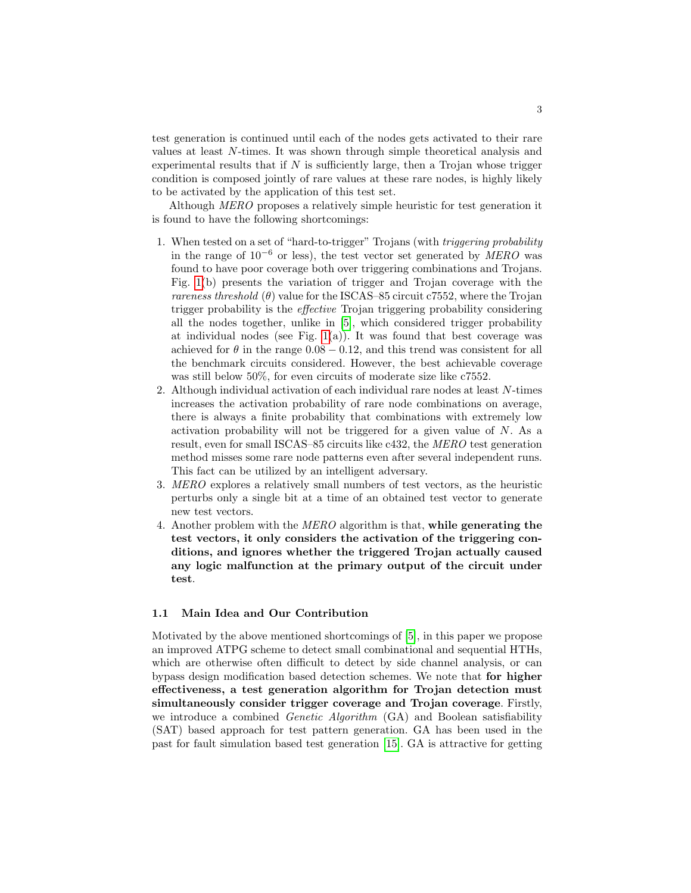test generation is continued until each of the nodes gets activated to their rare values at least N-times. It was shown through simple theoretical analysis and experimental results that if  $N$  is sufficiently large, then a Trojan whose trigger condition is composed jointly of rare values at these rare nodes, is highly likely to be activated by the application of this test set.

Although MERO proposes a relatively simple heuristic for test generation it is found to have the following shortcomings:

- 1. When tested on a set of "hard-to-trigger" Trojans (with triggering probability in the range of  $10^{-6}$  or less), the test vector set generated by MERO was found to have poor coverage both over triggering combinations and Trojans. Fig. [1\(](#page-1-0)b) presents the variation of trigger and Trojan coverage with the rareness threshold  $(\theta)$  value for the ISCAS–85 circuit c7552, where the Trojan trigger probability is the effective Trojan triggering probability considering all the nodes together, unlike in [\[5\]](#page-18-5), which considered trigger probability at individual nodes (see Fig.  $1(a)$ ). It was found that best coverage was achieved for  $\theta$  in the range  $0.08 - 0.12$ , and this trend was consistent for all the benchmark circuits considered. However, the best achievable coverage was still below 50%, for even circuits of moderate size like c7552.
- 2. Although individual activation of each individual rare nodes at least N-times increases the activation probability of rare node combinations on average, there is always a finite probability that combinations with extremely low activation probability will not be triggered for a given value of N. As a result, even for small ISCAS–85 circuits like c432, the MERO test generation method misses some rare node patterns even after several independent runs. This fact can be utilized by an intelligent adversary.
- 3. MERO explores a relatively small numbers of test vectors, as the heuristic perturbs only a single bit at a time of an obtained test vector to generate new test vectors.
- 4. Another problem with the MERO algorithm is that, while generating the test vectors, it only considers the activation of the triggering conditions, and ignores whether the triggered Trojan actually caused any logic malfunction at the primary output of the circuit under test.

#### 1.1 Main Idea and Our Contribution

Motivated by the above mentioned shortcomings of [\[5\]](#page-18-5), in this paper we propose an improved ATPG scheme to detect small combinational and sequential HTHs, which are otherwise often difficult to detect by side channel analysis, or can bypass design modification based detection schemes. We note that for higher effectiveness, a test generation algorithm for Trojan detection must simultaneously consider trigger coverage and Trojan coverage. Firstly, we introduce a combined *Genetic Algorithm* (GA) and Boolean satisfiability (SAT) based approach for test pattern generation. GA has been used in the past for fault simulation based test generation [\[15\]](#page-18-11). GA is attractive for getting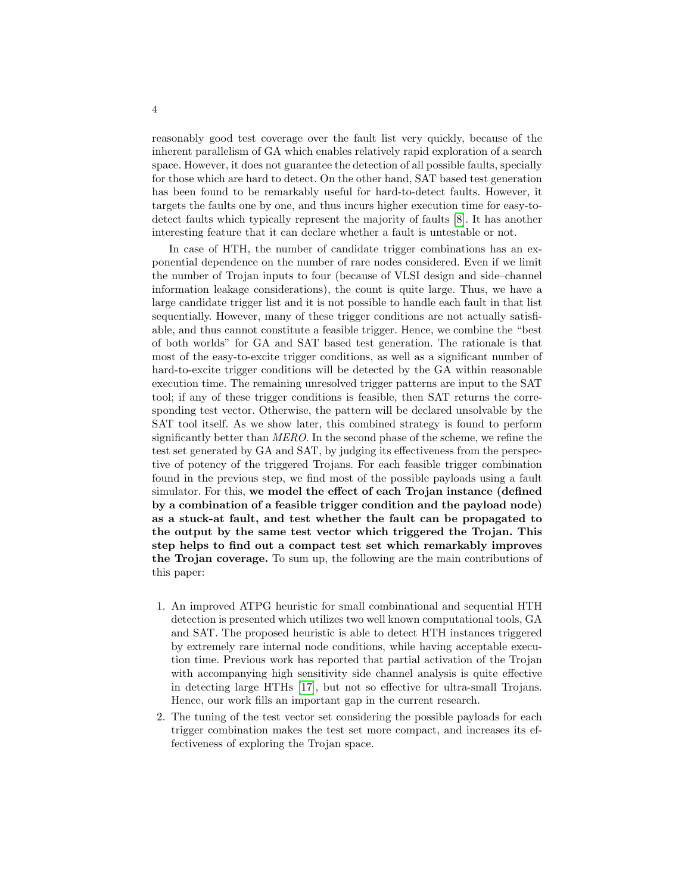reasonably good test coverage over the fault list very quickly, because of the inherent parallelism of GA which enables relatively rapid exploration of a search space. However, it does not guarantee the detection of all possible faults, specially for those which are hard to detect. On the other hand, SAT based test generation has been found to be remarkably useful for hard-to-detect faults. However, it targets the faults one by one, and thus incurs higher execution time for easy-todetect faults which typically represent the majority of faults [\[8\]](#page-18-12). It has another interesting feature that it can declare whether a fault is untestable or not.

In case of HTH, the number of candidate trigger combinations has an exponential dependence on the number of rare nodes considered. Even if we limit the number of Trojan inputs to four (because of VLSI design and side–channel information leakage considerations), the count is quite large. Thus, we have a large candidate trigger list and it is not possible to handle each fault in that list sequentially. However, many of these trigger conditions are not actually satisfiable, and thus cannot constitute a feasible trigger. Hence, we combine the "best of both worlds" for GA and SAT based test generation. The rationale is that most of the easy-to-excite trigger conditions, as well as a significant number of hard-to-excite trigger conditions will be detected by the GA within reasonable execution time. The remaining unresolved trigger patterns are input to the SAT tool; if any of these trigger conditions is feasible, then SAT returns the corresponding test vector. Otherwise, the pattern will be declared unsolvable by the SAT tool itself. As we show later, this combined strategy is found to perform significantly better than MERO. In the second phase of the scheme, we refine the test set generated by GA and SAT, by judging its effectiveness from the perspective of potency of the triggered Trojans. For each feasible trigger combination found in the previous step, we find most of the possible payloads using a fault simulator. For this, we model the effect of each Trojan instance (defined by a combination of a feasible trigger condition and the payload node) as a stuck-at fault, and test whether the fault can be propagated to the output by the same test vector which triggered the Trojan. This step helps to find out a compact test set which remarkably improves the Trojan coverage. To sum up, the following are the main contributions of this paper:

- 1. An improved ATPG heuristic for small combinational and sequential HTH detection is presented which utilizes two well known computational tools, GA and SAT. The proposed heuristic is able to detect HTH instances triggered by extremely rare internal node conditions, while having acceptable execution time. Previous work has reported that partial activation of the Trojan with accompanying high sensitivity side channel analysis is quite effective in detecting large HTHs [\[17\]](#page-18-4), but not so effective for ultra-small Trojans. Hence, our work fills an important gap in the current research.
- 2. The tuning of the test vector set considering the possible payloads for each trigger combination makes the test set more compact, and increases its effectiveness of exploring the Trojan space.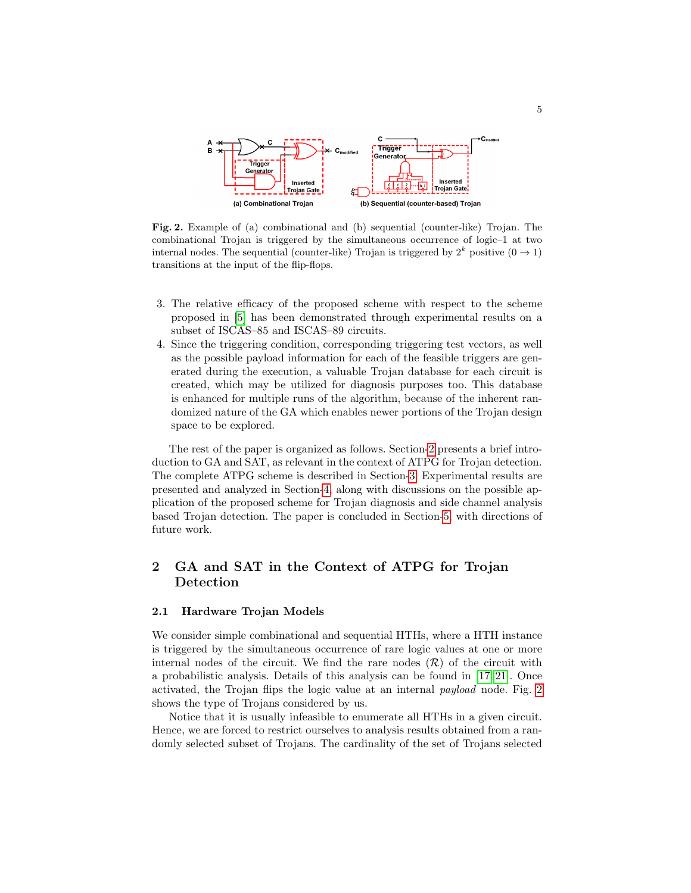

<span id="page-4-1"></span>Fig. 2. Example of (a) combinational and (b) sequential (counter-like) Trojan. The combinational Trojan is triggered by the simultaneous occurrence of logic–1 at two internal nodes. The sequential (counter-like) Trojan is triggered by  $2^k$  positive  $(0 \rightarrow 1)$ transitions at the input of the flip-flops.

- 3. The relative efficacy of the proposed scheme with respect to the scheme proposed in [\[5\]](#page-18-5) has been demonstrated through experimental results on a subset of ISCAS–85 and ISCAS–89 circuits.
- 4. Since the triggering condition, corresponding triggering test vectors, as well as the possible payload information for each of the feasible triggers are generated during the execution, a valuable Trojan database for each circuit is created, which may be utilized for diagnosis purposes too. This database is enhanced for multiple runs of the algorithm, because of the inherent randomized nature of the GA which enables newer portions of the Trojan design space to be explored.

The rest of the paper is organized as follows. Section[-2](#page-4-0) presents a brief introduction to GA and SAT, as relevant in the context of ATPG for Trojan detection. The complete ATPG scheme is described in Section[-3.](#page-10-0) Experimental results are presented and analyzed in Section[-4,](#page-13-0) along with discussions on the possible application of the proposed scheme for Trojan diagnosis and side channel analysis based Trojan detection. The paper is concluded in Section[-5,](#page-17-0) with directions of future work.

# <span id="page-4-0"></span>2 GA and SAT in the Context of ATPG for Trojan Detection

#### 2.1 Hardware Trojan Models

We consider simple combinational and sequential HTHs, where a HTH instance is triggered by the simultaneous occurrence of rare logic values at one or more internal nodes of the circuit. We find the rare nodes  $(\mathcal{R})$  of the circuit with a probabilistic analysis. Details of this analysis can be found in [\[17,](#page-18-4) [21\]](#page-19-1). Once activated, the Trojan flips the logic value at an internal payload node. Fig. [2](#page-4-1) shows the type of Trojans considered by us.

Notice that it is usually infeasible to enumerate all HTHs in a given circuit. Hence, we are forced to restrict ourselves to analysis results obtained from a randomly selected subset of Trojans. The cardinality of the set of Trojans selected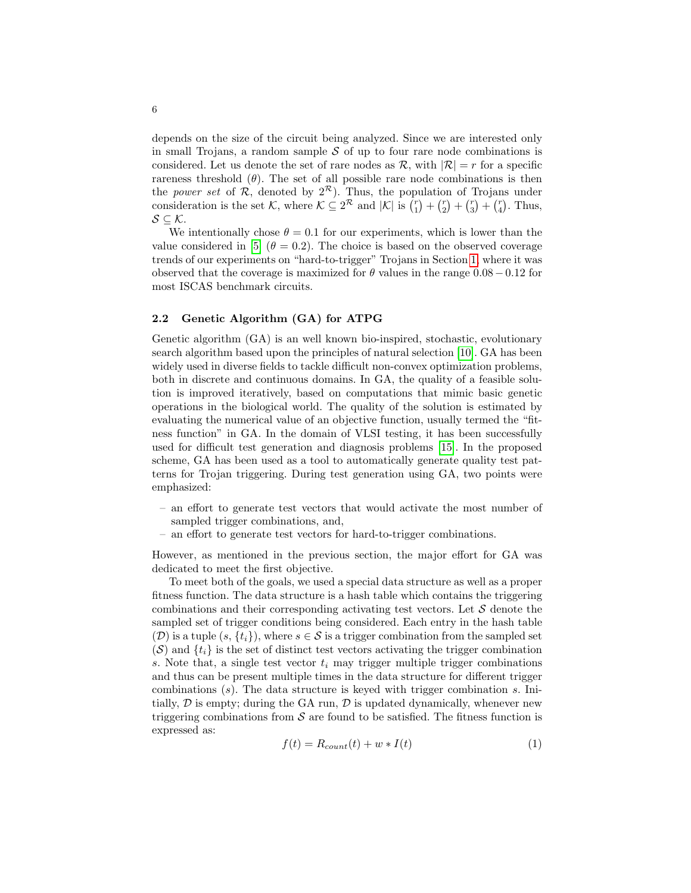depends on the size of the circuit being analyzed. Since we are interested only in small Trojans, a random sample  $S$  of up to four rare node combinations is considered. Let us denote the set of rare nodes as  $\mathcal{R}$ , with  $|\mathcal{R}| = r$  for a specific rareness threshold  $(\theta)$ . The set of all possible rare node combinations is then the *power set* of R, denoted by  $2^R$ ). Thus, the population of Trojans under consideration is the set K, where  $\mathcal{K} \subseteq 2^{\mathcal{R}}$  and  $|\mathcal{K}|$  is  $\binom{r}{1} + \binom{r}{2} + \binom{r}{3} + \binom{r}{4}$ . Thus,  $S \subseteq K$ .

We intentionally chose  $\theta = 0.1$  for our experiments, which is lower than the value considered in [\[5\]](#page-18-5)  $(\theta = 0.2)$ . The choice is based on the observed coverage trends of our experiments on "hard-to-trigger" Trojans in Section [1,](#page-0-0) where it was observed that the coverage is maximized for  $\theta$  values in the range  $0.08-0.12$  for most ISCAS benchmark circuits.

#### 2.2 Genetic Algorithm (GA) for ATPG

Genetic algorithm (GA) is an well known bio-inspired, stochastic, evolutionary search algorithm based upon the principles of natural selection [\[10\]](#page-18-13). GA has been widely used in diverse fields to tackle difficult non-convex optimization problems, both in discrete and continuous domains. In GA, the quality of a feasible solution is improved iteratively, based on computations that mimic basic genetic operations in the biological world. The quality of the solution is estimated by evaluating the numerical value of an objective function, usually termed the "fitness function" in GA. In the domain of VLSI testing, it has been successfully used for difficult test generation and diagnosis problems [\[15\]](#page-18-11). In the proposed scheme, GA has been used as a tool to automatically generate quality test patterns for Trojan triggering. During test generation using GA, two points were emphasized:

- an effort to generate test vectors that would activate the most number of sampled trigger combinations, and,
- an effort to generate test vectors for hard-to-trigger combinations.

However, as mentioned in the previous section, the major effort for GA was dedicated to meet the first objective.

To meet both of the goals, we used a special data structure as well as a proper fitness function. The data structure is a hash table which contains the triggering combinations and their corresponding activating test vectors. Let  $S$  denote the sampled set of trigger conditions being considered. Each entry in the hash table  $(\mathcal{D})$  is a tuple  $(s, \{t_i\})$ , where  $s \in \mathcal{S}$  is a trigger combination from the sampled set  $(\mathcal{S})$  and  $\{t_i\}$  is the set of distinct test vectors activating the trigger combination s. Note that, a single test vector  $t_i$  may trigger multiple trigger combinations and thus can be present multiple times in the data structure for different trigger combinations  $(s)$ . The data structure is keyed with trigger combination s. Initially,  $D$  is empty; during the GA run,  $D$  is updated dynamically, whenever new triggering combinations from  $\mathcal S$  are found to be satisfied. The fitness function is expressed as:

<span id="page-5-0"></span>
$$
f(t) = R_{count}(t) + w * I(t)
$$
\n<sup>(1)</sup>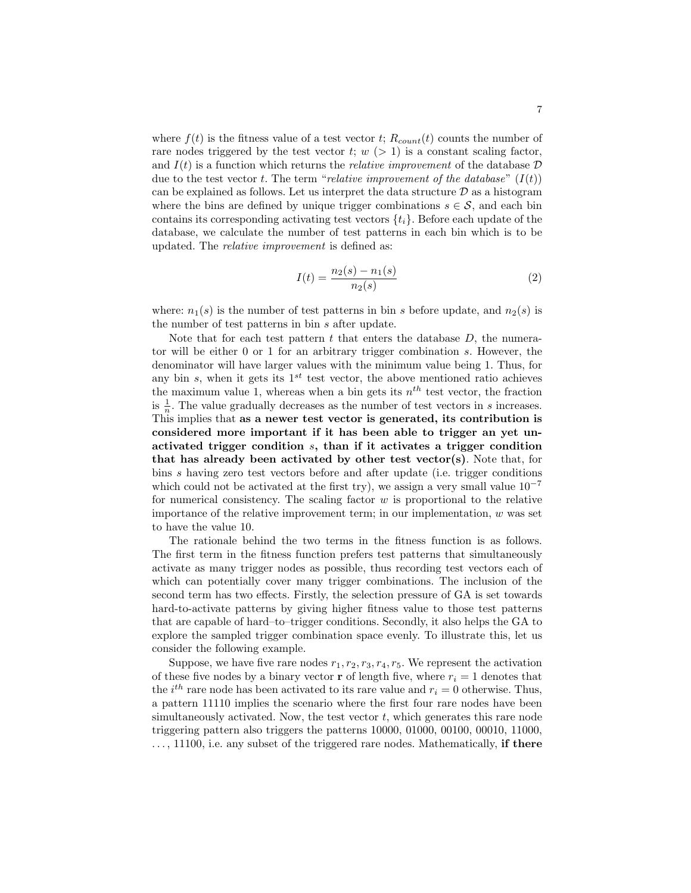where  $f(t)$  is the fitness value of a test vector t;  $R_{count}(t)$  counts the number of rare nodes triggered by the test vector t;  $w > 1$  is a constant scaling factor, and  $I(t)$  is a function which returns the *relative improvement* of the database  $D$ due to the test vector t. The term "relative improvement of the database"  $(I(t))$ can be explained as follows. Let us interpret the data structure  $D$  as a histogram where the bins are defined by unique trigger combinations  $s \in \mathcal{S}$ , and each bin contains its corresponding activating test vectors  $\{t_i\}$ . Before each update of the database, we calculate the number of test patterns in each bin which is to be updated. The relative improvement is defined as:

$$
I(t) = \frac{n_2(s) - n_1(s)}{n_2(s)}\tag{2}
$$

where:  $n_1(s)$  is the number of test patterns in bin s before update, and  $n_2(s)$  is the number of test patterns in bin s after update.

Note that for each test pattern t that enters the database  $D$ , the numerator will be either 0 or 1 for an arbitrary trigger combination s. However, the denominator will have larger values with the minimum value being 1. Thus, for any bin s, when it gets its  $1^{st}$  test vector, the above mentioned ratio achieves the maximum value 1, whereas when a bin gets its  $n^{th}$  test vector, the fraction is  $\frac{1}{n}$ . The value gradually decreases as the number of test vectors in s increases. This implies that as a newer test vector is generated, its contribution is considered more important if it has been able to trigger an yet unactivated trigger condition s, than if it activates a trigger condition that has already been activated by other test vector(s). Note that, for bins s having zero test vectors before and after update (i.e. trigger conditions which could not be activated at the first try), we assign a very small value  $10^{-7}$ for numerical consistency. The scaling factor  $w$  is proportional to the relative importance of the relative improvement term; in our implementation,  $w$  was set to have the value 10.

The rationale behind the two terms in the fitness function is as follows. The first term in the fitness function prefers test patterns that simultaneously activate as many trigger nodes as possible, thus recording test vectors each of which can potentially cover many trigger combinations. The inclusion of the second term has two effects. Firstly, the selection pressure of GA is set towards hard-to-activate patterns by giving higher fitness value to those test patterns that are capable of hard–to–trigger conditions. Secondly, it also helps the GA to explore the sampled trigger combination space evenly. To illustrate this, let us consider the following example.

Suppose, we have five rare nodes  $r_1, r_2, r_3, r_4, r_5$ . We represent the activation of these five nodes by a binary vector **r** of length five, where  $r_i = 1$  denotes that the  $i^{th}$  rare node has been activated to its rare value and  $r_i = 0$  otherwise. Thus, a pattern 11110 implies the scenario where the first four rare nodes have been simultaneously activated. Now, the test vector  $t$ , which generates this rare node triggering pattern also triggers the patterns 10000, 01000, 00100, 00010, 11000, ..., 11100, i.e. any subset of the triggered rare nodes. Mathematically, if there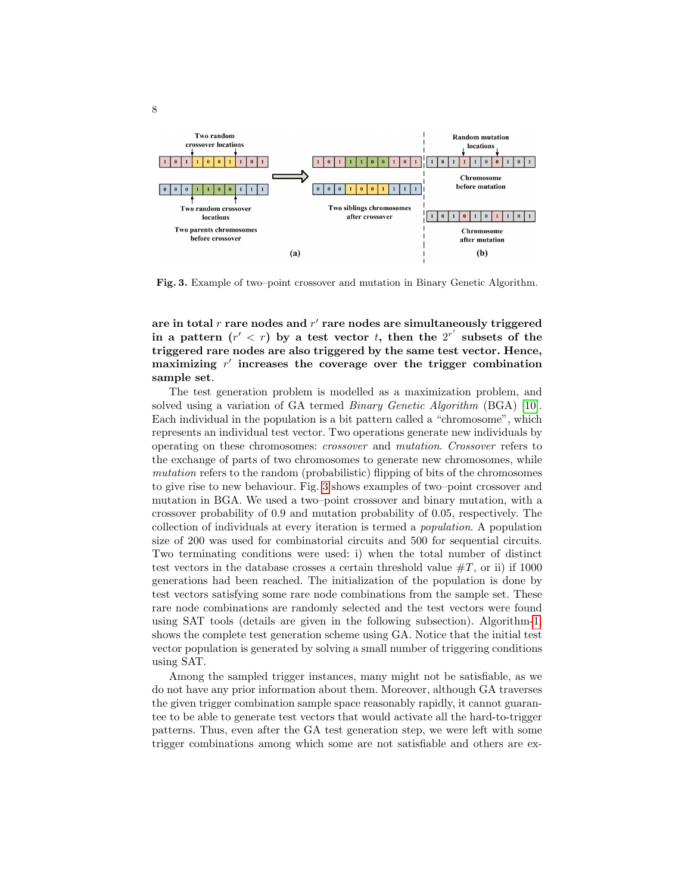

8

<span id="page-7-0"></span>Fig. 3. Example of two–point crossover and mutation in Binary Genetic Algorithm.

are in total  $r$  rare nodes and  $r^\prime$  rare nodes are simultaneously triggered in a pattern  $(r' < r)$  by a test vector t, then the  $2^{r'}$  subsets of the triggered rare nodes are also triggered by the same test vector. Hence, maximizing  $r'$  increases the coverage over the trigger combination sample set.

The test generation problem is modelled as a maximization problem, and solved using a variation of GA termed Binary Genetic Algorithm (BGA) [\[10\]](#page-18-13). Each individual in the population is a bit pattern called a "chromosome", which represents an individual test vector. Two operations generate new individuals by operating on these chromosomes: crossover and mutation. Crossover refers to the exchange of parts of two chromosomes to generate new chromosomes, while mutation refers to the random (probabilistic) flipping of bits of the chromosomes to give rise to new behaviour. Fig. [3](#page-7-0) shows examples of two–point crossover and mutation in BGA. We used a two–point crossover and binary mutation, with a crossover probability of 0.9 and mutation probability of 0.05, respectively. The collection of individuals at every iteration is termed a population. A population size of 200 was used for combinatorial circuits and 500 for sequential circuits. Two terminating conditions were used: i) when the total number of distinct test vectors in the database crosses a certain threshold value  $\#T$ , or ii) if 1000 generations had been reached. The initialization of the population is done by test vectors satisfying some rare node combinations from the sample set. These rare node combinations are randomly selected and the test vectors were found using SAT tools (details are given in the following subsection). Algorithm[-1,](#page-8-0) shows the complete test generation scheme using GA. Notice that the initial test vector population is generated by solving a small number of triggering conditions using SAT.

Among the sampled trigger instances, many might not be satisfiable, as we do not have any prior information about them. Moreover, although GA traverses the given trigger combination sample space reasonably rapidly, it cannot guarantee to be able to generate test vectors that would activate all the hard-to-trigger patterns. Thus, even after the GA test generation step, we were left with some trigger combinations among which some are not satisfiable and others are ex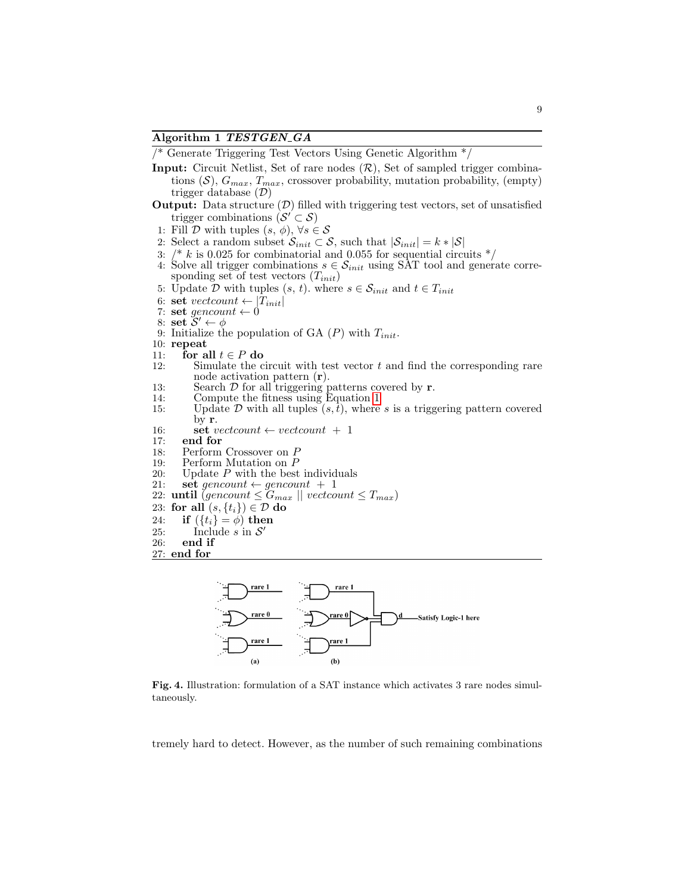<span id="page-8-0"></span>/\* Generate Triggering Test Vectors Using Genetic Algorithm \*/

- Input: Circuit Netlist, Set of rare nodes  $(\mathcal{R})$ , Set of sampled trigger combinations  $(S)$ ,  $G_{max}$ ,  $T_{max}$ , crossover probability, mutation probability, (empty) trigger database  $(\mathcal{D})$
- **Output:** Data structure  $(D)$  filled with triggering test vectors, set of unsatisfied trigger combinations  $(S' \subset S)$
- 1: Fill  $\mathcal D$  with tuples  $(s, \phi), \forall s \in \mathcal S$
- 2: Select a random subset  $\mathcal{S}_{init} \subset \mathcal{S}$ , such that  $|\mathcal{S}_{init}| = k * |\mathcal{S}|$
- 3:  $\frac{1}{\ast}$  k is 0.025 for combinatorial and 0.055 for sequential circuits  $\frac{1}{\ast}$
- 4: Solve all trigger combinations  $s \in S_{init}$  using SAT tool and generate corresponding set of test vectors  $(T_{init})$
- 5: Update  $D$  with tuples  $(s, t)$ . where  $s \in S_{init}$  and  $t \in T_{init}$
- 6: set  $vectorant \leftarrow |T_{init}|$
- 7: set gencount  $\leftarrow 0$
- 8: set  $S' \leftarrow \phi$
- 9: Initialize the population of GA  $(P)$  with  $T_{init}$ .
- 10: repeat
- 11: for all  $t \in P$  do
- 12: Simulate the circuit with test vector  $t$  and find the corresponding rare node activation pattern (r).
- 13: Search  $\mathcal D$  for all triggering patterns covered by **r**.<br>14: Compute the fitness using Equation 1
- Compute the fitness using Equation [1](#page-5-0)
- 15: Update  $D$  with all tuples  $(s, t)$ , where s is a triggering pattern covered by r.
- 16: set  $vectorant \leftarrow vectorount + 1$ <br>17: end for
- end for
- 18: Perform Crossover on P
- 19: Perform Mutation on  $P$ <br>20: Update  $P$  with the best
- 20: Update P with the best individuals<br>21: set *gencount*  $\leftarrow$  *gencount* + 1
- set gencount  $\leftarrow$  gencount  $+1$
- 22: until (gencount  $\leq G_{max}$  || vectcount  $\leq T_{max}$ )
- 23: for all  $(s, \{t_i\}) \in \mathcal{D}$  do
- 
- 24: **if**  $({t_i} = \phi)$  then<br>25: Include *s* in *S'* 25: Include  $s$  in  $S'$
- 26: end if
- 27: end for



<span id="page-8-1"></span>Fig. 4. Illustration: formulation of a SAT instance which activates 3 rare nodes simultaneously.

tremely hard to detect. However, as the number of such remaining combinations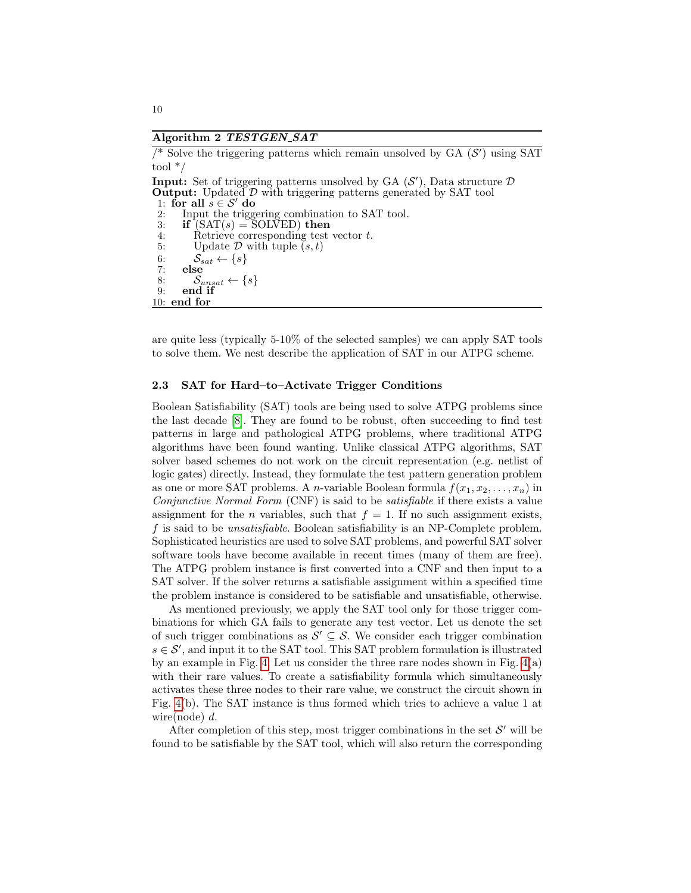## <span id="page-9-0"></span>Algorithm 2 TESTGEN SAT

 $\frac{1}{8}$  Solve the triggering patterns which remain unsolved by GA  $(S')$  using SAT tool  $*/$ **Input:** Set of triggering patterns unsolved by GA  $(S')$ , Data structure  $D$ **Output:** Updated  $D$  with triggering patterns generated by SAT tool 1: for all  $s \in \mathcal{S}'$  do 2: Input the triggering combination to SAT tool. 3: if  $(SAT(s) = SOLVED)$  then 4: Retrieve corresponding test vector  $t$ . 5: Update  $\mathcal D$  with tuple  $(s,t)$ 6:  $S_{sat} \leftarrow \{s\}$ <br>7: **else** else 8:  $\mathcal{S}_{unsat} \leftarrow \{s\}$ 9: end if 10: end for

are quite less (typically 5-10% of the selected samples) we can apply SAT tools to solve them. We nest describe the application of SAT in our ATPG scheme.

#### 2.3 SAT for Hard–to–Activate Trigger Conditions

Boolean Satisfiability (SAT) tools are being used to solve ATPG problems since the last decade [\[8\]](#page-18-12). They are found to be robust, often succeeding to find test patterns in large and pathological ATPG problems, where traditional ATPG algorithms have been found wanting. Unlike classical ATPG algorithms, SAT solver based schemes do not work on the circuit representation (e.g. netlist of logic gates) directly. Instead, they formulate the test pattern generation problem as one or more SAT problems. A *n*-variable Boolean formula  $f(x_1, x_2, \ldots, x_n)$  in Conjunctive Normal Form (CNF) is said to be satisfiable if there exists a value assignment for the *n* variables, such that  $f = 1$ . If no such assignment exists, f is said to be unsatisfiable. Boolean satisfiability is an NP-Complete problem. Sophisticated heuristics are used to solve SAT problems, and powerful SAT solver software tools have become available in recent times (many of them are free). The ATPG problem instance is first converted into a CNF and then input to a SAT solver. If the solver returns a satisfiable assignment within a specified time the problem instance is considered to be satisfiable and unsatisfiable, otherwise.

As mentioned previously, we apply the SAT tool only for those trigger combinations for which GA fails to generate any test vector. Let us denote the set of such trigger combinations as  $\mathcal{S}' \subseteq \mathcal{S}$ . We consider each trigger combination  $s \in \mathcal{S}'$ , and input it to the SAT tool. This SAT problem formulation is illustrated by an example in Fig. [4.](#page-8-1) Let us consider the three rare nodes shown in Fig. [4\(](#page-8-1)a) with their rare values. To create a satisfiability formula which simultaneously activates these three nodes to their rare value, we construct the circuit shown in Fig. [4\(](#page-8-1)b). The SAT instance is thus formed which tries to achieve a value 1 at wire(node)  $d$ .

After completion of this step, most trigger combinations in the set  $\mathcal{S}'$  will be found to be satisfiable by the SAT tool, which will also return the corresponding

10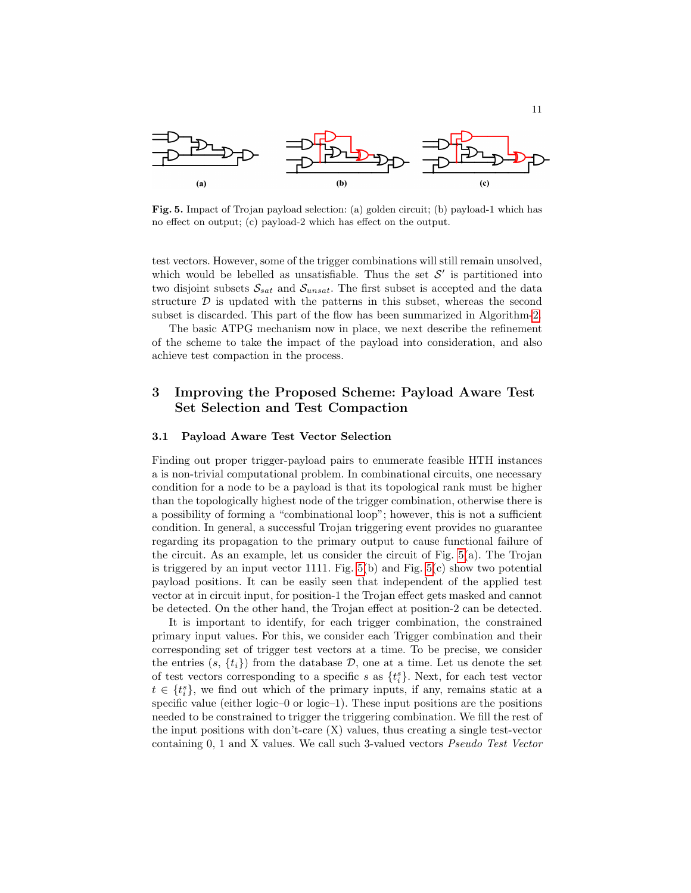

<span id="page-10-1"></span>Fig. 5. Impact of Trojan payload selection: (a) golden circuit; (b) payload-1 which has no effect on output; (c) payload-2 which has effect on the output.

test vectors. However, some of the trigger combinations will still remain unsolved, which would be lebelled as unsatisfiable. Thus the set  $\mathcal{S}'$  is partitioned into two disjoint subsets  $\mathcal{S}_{sat}$  and  $\mathcal{S}_{unsat}$ . The first subset is accepted and the data structure  $D$  is updated with the patterns in this subset, whereas the second subset is discarded. This part of the flow has been summarized in Algorithm[-2.](#page-9-0)

The basic ATPG mechanism now in place, we next describe the refinement of the scheme to take the impact of the payload into consideration, and also achieve test compaction in the process.

# <span id="page-10-0"></span>3 Improving the Proposed Scheme: Payload Aware Test Set Selection and Test Compaction

#### 3.1 Payload Aware Test Vector Selection

Finding out proper trigger-payload pairs to enumerate feasible HTH instances a is non-trivial computational problem. In combinational circuits, one necessary condition for a node to be a payload is that its topological rank must be higher than the topologically highest node of the trigger combination, otherwise there is a possibility of forming a "combinational loop"; however, this is not a sufficient condition. In general, a successful Trojan triggering event provides no guarantee regarding its propagation to the primary output to cause functional failure of the circuit. As an example, let us consider the circuit of Fig. [5\(](#page-10-1)a). The Trojan is triggered by an input vector 1111. Fig.  $5(b)$  and Fig.  $5(c)$  show two potential payload positions. It can be easily seen that independent of the applied test vector at in circuit input, for position-1 the Trojan effect gets masked and cannot be detected. On the other hand, the Trojan effect at position-2 can be detected.

It is important to identify, for each trigger combination, the constrained primary input values. For this, we consider each Trigger combination and their corresponding set of trigger test vectors at a time. To be precise, we consider the entries  $(s, \{t_i\})$  from the database  $\mathcal{D}$ , one at a time. Let us denote the set of test vectors corresponding to a specific s as  $\{t_i^s\}$ . Next, for each test vector  $t \in \{t_i^s\}$ , we find out which of the primary inputs, if any, remains static at a specific value (either logic–0 or logic–1). These input positions are the positions needed to be constrained to trigger the triggering combination. We fill the rest of the input positions with don't-care  $(X)$  values, thus creating a single test-vector containing 0, 1 and X values. We call such 3-valued vectors Pseudo Test Vector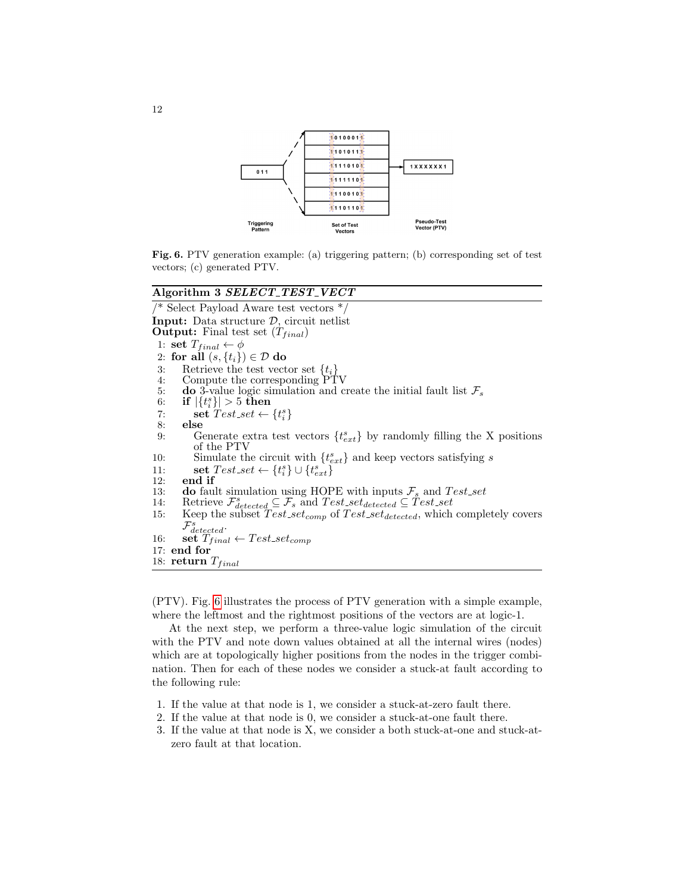

<span id="page-11-0"></span>Fig. 6. PTV generation example: (a) triggering pattern; (b) corresponding set of test vectors; (c) generated PTV.

## <span id="page-11-1"></span>Algorithm 3 SELECT\_TEST\_VECT

/\* Select Payload Aware test vectors  $\frac{*}{ }$ Input: Data structure D, circuit netlist **Output:** Final test set  $(T_{final})$ 1: set  $T_{final} \leftarrow \phi$ 2: for all  $(s, \{t_i\}) \in \mathcal{D}$  do 3: Retrieve the test vector set  $\{t_i\}$ 4: Compute the corresponding PTV 5: **do** 3-value logic simulation and create the initial fault list  $\mathcal{F}_s$ <br>6: **if**  $|\{t_i^s\}| > 5$  **then**  $6\colon\quad {\bf if}\,\, |\{t_i^s\}| > 5\,\, {\bf then}$ 7: set  $Test\_set \leftarrow \{t_i^s\}$ 8: else 9: Generate extra test vectors  $\{t_{ext}^s\}$  by randomly filling the X positions of the PTV 10: Simulate the circuit with  $\{t_{ext}^s\}$  and keep vectors satisfying s 11:  $\textbf{set} \; Test\_set \leftarrow \{t_i^s\} \cup \{t_{ext}^s\}$ 12: **end if**<br>13: **do** fau 13: **do** fault simulation using HOPE with inputs  $\mathcal{F}_s$  and Test set 14: Retrieve  $\mathcal{F}^s_{detected} \subseteq \mathcal{F}_s$  and  $Test\_set_{detected} \subseteq Test\_set$ 15: Keep the subset  $Test\_set_{comp}$  of  $Test\_set_{detected}$ , which completely covers  $\mathcal{F}^s_{detected}.$ 16: set  $T_{final} \leftarrow Test\_set_{comp}$ 17: end for 18: return  $T_{final}$ 

(PTV). Fig. [6](#page-11-0) illustrates the process of PTV generation with a simple example, where the leftmost and the rightmost positions of the vectors are at logic-1.

At the next step, we perform a three-value logic simulation of the circuit with the PTV and note down values obtained at all the internal wires (nodes) which are at topologically higher positions from the nodes in the trigger combination. Then for each of these nodes we consider a stuck-at fault according to the following rule:

- 1. If the value at that node is 1, we consider a stuck-at-zero fault there.
- 2. If the value at that node is 0, we consider a stuck-at-one fault there.
- 3. If the value at that node is X, we consider a both stuck-at-one and stuck-atzero fault at that location.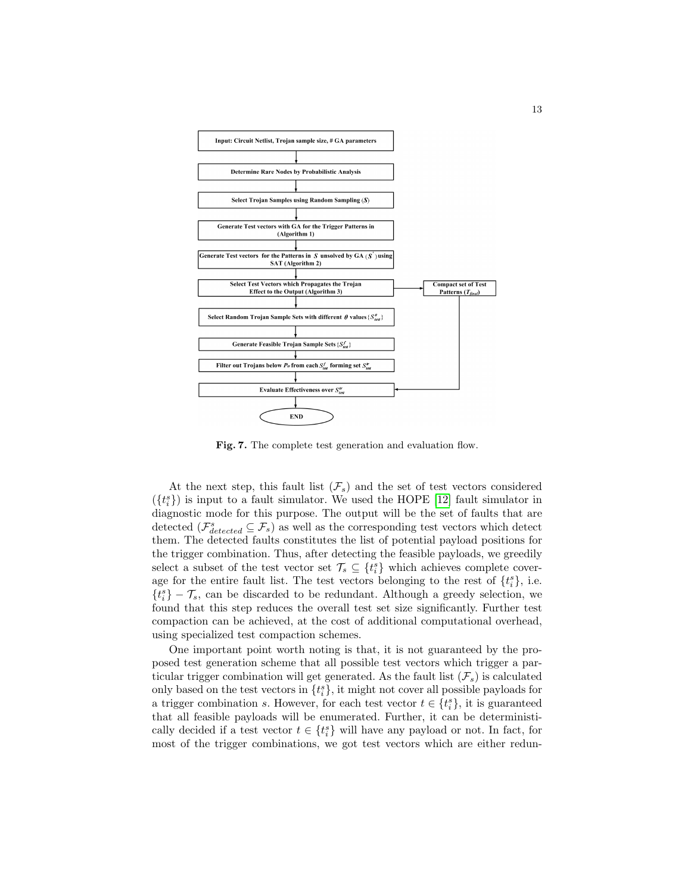

Fig. 7. The complete test generation and evaluation flow.

At the next step, this fault list  $(\mathcal{F}_s)$  and the set of test vectors considered  $(\lbrace t_{i}^{s}\rbrace)$  is input to a fault simulator. We used the HOPE [\[12\]](#page-18-14) fault simulator in diagnostic mode for this purpose. The output will be the set of faults that are detected  $(\mathcal{F}^s_{detected} \subseteq \mathcal{F}_s)$  as well as the corresponding test vectors which detect them. The detected faults constitutes the list of potential payload positions for the trigger combination. Thus, after detecting the feasible payloads, we greedily select a subset of the test vector set  $\mathcal{T}_s \subseteq \{t_i^s\}$  which achieves complete coverage for the entire fault list. The test vectors belonging to the rest of  $\{t_i^s\}$ , i.e.  $\{t_i^s\}$  –  $\mathcal{T}_s$ , can be discarded to be redundant. Although a greedy selection, we found that this step reduces the overall test set size significantly. Further test compaction can be achieved, at the cost of additional computational overhead, using specialized test compaction schemes.

One important point worth noting is that, it is not guaranteed by the proposed test generation scheme that all possible test vectors which trigger a particular trigger combination will get generated. As the fault list  $(\mathcal{F}_s)$  is calculated only based on the test vectors in  $\{t_i^s\}$ , it might not cover all possible payloads for a trigger combination s. However, for each test vector  $t \in \{t_i^s\}$ , it is guaranteed that all feasible payloads will be enumerated. Further, it can be deterministically decided if a test vector  $t \in \{t_i^s\}$  will have any payload or not. In fact, for most of the trigger combinations, we got test vectors which are either redun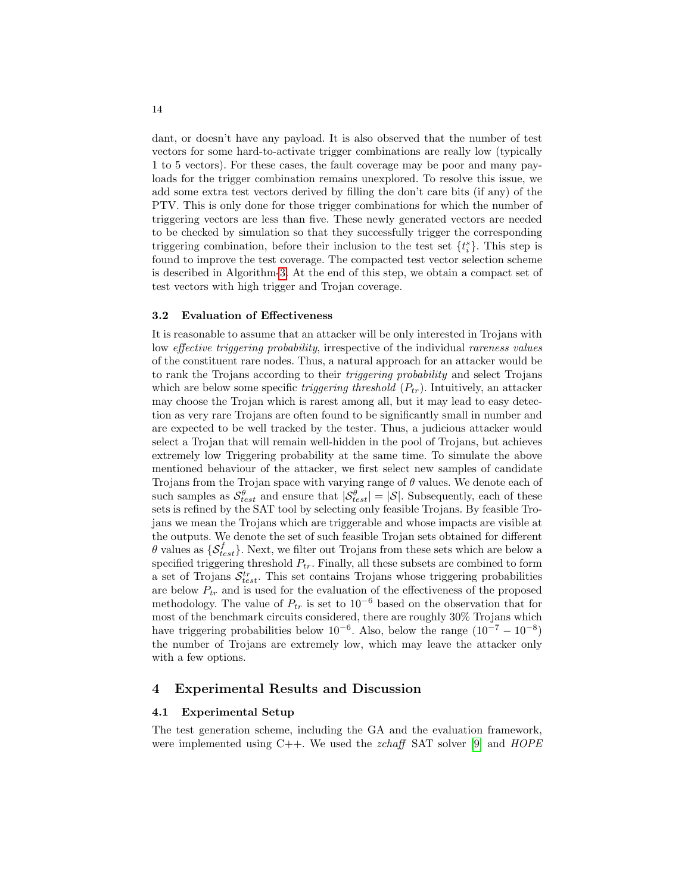dant, or doesn't have any payload. It is also observed that the number of test vectors for some hard-to-activate trigger combinations are really low (typically 1 to 5 vectors). For these cases, the fault coverage may be poor and many payloads for the trigger combination remains unexplored. To resolve this issue, we add some extra test vectors derived by filling the don't care bits (if any) of the PTV. This is only done for those trigger combinations for which the number of triggering vectors are less than five. These newly generated vectors are needed to be checked by simulation so that they successfully trigger the corresponding triggering combination, before their inclusion to the test set  $\{t_i^s\}$ . This step is found to improve the test coverage. The compacted test vector selection scheme is described in Algorithm[-3.](#page-11-1) At the end of this step, we obtain a compact set of test vectors with high trigger and Trojan coverage.

#### 3.2 Evaluation of Effectiveness

It is reasonable to assume that an attacker will be only interested in Trojans with low effective triggering probability, irrespective of the individual rareness values of the constituent rare nodes. Thus, a natural approach for an attacker would be to rank the Trojans according to their triggering probability and select Trojans which are below some specific *triggering threshold*  $(P_{tr})$ . Intuitively, an attacker may choose the Trojan which is rarest among all, but it may lead to easy detection as very rare Trojans are often found to be significantly small in number and are expected to be well tracked by the tester. Thus, a judicious attacker would select a Trojan that will remain well-hidden in the pool of Trojans, but achieves extremely low Triggering probability at the same time. To simulate the above mentioned behaviour of the attacker, we first select new samples of candidate Trojans from the Trojan space with varying range of  $\theta$  values. We denote each of such samples as  $S_{test}^{\theta}$  and ensure that  $|S_{test}^{\theta}| = |S|$ . Subsequently, each of these sets is refined by the SAT tool by selecting only feasible Trojans. By feasible Trojans we mean the Trojans which are triggerable and whose impacts are visible at the outputs. We denote the set of such feasible Trojan sets obtained for different  $\theta$  values as  $\{\mathcal{S}_{test}^f\}$ . Next, we filter out Trojans from these sets which are below a specified triggering threshold  $P_{tr}$ . Finally, all these subsets are combined to form a set of Trojans  $S_{test}^{tr}$ . This set contains Trojans whose triggering probabilities are below  $P_{tr}$  and is used for the evaluation of the effectiveness of the proposed methodology. The value of  $P_{tr}$  is set to 10<sup>-6</sup> based on the observation that for most of the benchmark circuits considered, there are roughly 30% Trojans which have triggering probabilities below  $10^{-6}$ . Also, below the range  $(10^{-7} - 10^{-8})$ the number of Trojans are extremely low, which may leave the attacker only with a few options.

## <span id="page-13-0"></span>4 Experimental Results and Discussion

#### 4.1 Experimental Setup

The test generation scheme, including the GA and the evaluation framework, were implemented using  $C++$ . We used the *zchaff* SAT solver [\[9\]](#page-18-15) and *HOPE*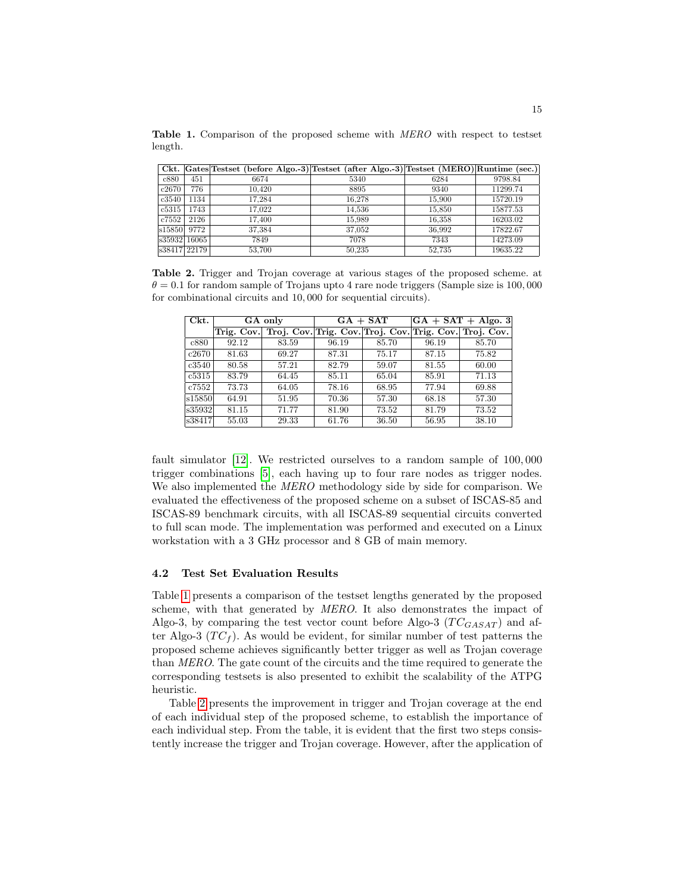<span id="page-14-0"></span>Table 1. Comparison of the proposed scheme with MERO with respect to testset length.

|             |              | Ckt. Gates Testset (before Algo.-3) Testset (after Algo.-3) Testset (MERO) Runtime (sec.) |        |        |          |
|-------------|--------------|-------------------------------------------------------------------------------------------|--------|--------|----------|
| c880        | 451          | 6674                                                                                      | 5340   | 6284   | 9798.84  |
| c2670       | 776          | 10.420                                                                                    | 8895   | 9340   | 11299.74 |
| c3540       | 1134         | 17.284                                                                                    | 16.278 | 15.900 | 15720.19 |
| c5315       | 1743         | 17.022                                                                                    | 14.536 | 15.850 | 15877.53 |
| c7552       | 2126         | 17.400                                                                                    | 15.989 | 16,358 | 16203.02 |
| s15850 9772 |              | 37.384                                                                                    | 37,052 | 36.992 | 17822.67 |
|             | s35932 16065 | 7849                                                                                      | 7078   | 7343   | 14273.09 |
|             | s38417 22179 | 53,700                                                                                    | 50.235 | 52,735 | 19635.22 |

<span id="page-14-1"></span>Table 2. Trigger and Trojan coverage at various stages of the proposed scheme. at  $\theta = 0.1$  for random sample of Trojans upto 4 rare node triggers (Sample size is 100,000) for combinational circuits and 10, 000 for sequential circuits).

| Ckt.   |       | GA only                                                           |       | $GA + SAT$ |       | $ GA + SAT + Algo. 3 $ |
|--------|-------|-------------------------------------------------------------------|-------|------------|-------|------------------------|
|        |       | Trig. Cov. Troj. Cov. Trig. Cov. Troj. Cov. Trig. Cov. Troj. Cov. |       |            |       |                        |
| c880   | 92.12 | 83.59                                                             | 96.19 | 85.70      | 96.19 | 85.70                  |
| c2670  | 81.63 | 69.27                                                             | 87.31 | 75.17      | 87.15 | 75.82                  |
| c3540  | 80.58 | 57.21                                                             | 82.79 | 59.07      | 81.55 | 60.00                  |
| c5315  | 83.79 | 64.45                                                             | 85.11 | 65.04      | 85.91 | 71.13                  |
| c7552  | 73.73 | 64.05                                                             | 78.16 | 68.95      | 77.94 | 69.88                  |
| s15850 | 64.91 | 51.95                                                             | 70.36 | 57.30      | 68.18 | 57.30                  |
| s35932 | 81.15 | 71.77                                                             | 81.90 | 73.52      | 81.79 | 73.52                  |
| s38417 | 55.03 | 29.33                                                             | 61.76 | 36.50      | 56.95 | 38.10                  |

fault simulator [\[12\]](#page-18-14). We restricted ourselves to a random sample of 100, 000 trigger combinations [\[5\]](#page-18-5), each having up to four rare nodes as trigger nodes. We also implemented the MERO methodology side by side for comparison. We evaluated the effectiveness of the proposed scheme on a subset of ISCAS-85 and ISCAS-89 benchmark circuits, with all ISCAS-89 sequential circuits converted to full scan mode. The implementation was performed and executed on a Linux workstation with a 3 GHz processor and 8 GB of main memory.

#### 4.2 Test Set Evaluation Results

Table [1](#page-14-0) presents a comparison of the testset lengths generated by the proposed scheme, with that generated by MERO. It also demonstrates the impact of Algo-3, by comparing the test vector count before Algo-3  $(T C_{GASAT})$  and after Algo-3 ( $TC_f$ ). As would be evident, for similar number of test patterns the proposed scheme achieves significantly better trigger as well as Trojan coverage than MERO. The gate count of the circuits and the time required to generate the corresponding testsets is also presented to exhibit the scalability of the ATPG heuristic.

Table [2](#page-14-1) presents the improvement in trigger and Trojan coverage at the end of each individual step of the proposed scheme, to establish the importance of each individual step. From the table, it is evident that the first two steps consistently increase the trigger and Trojan coverage. However, after the application of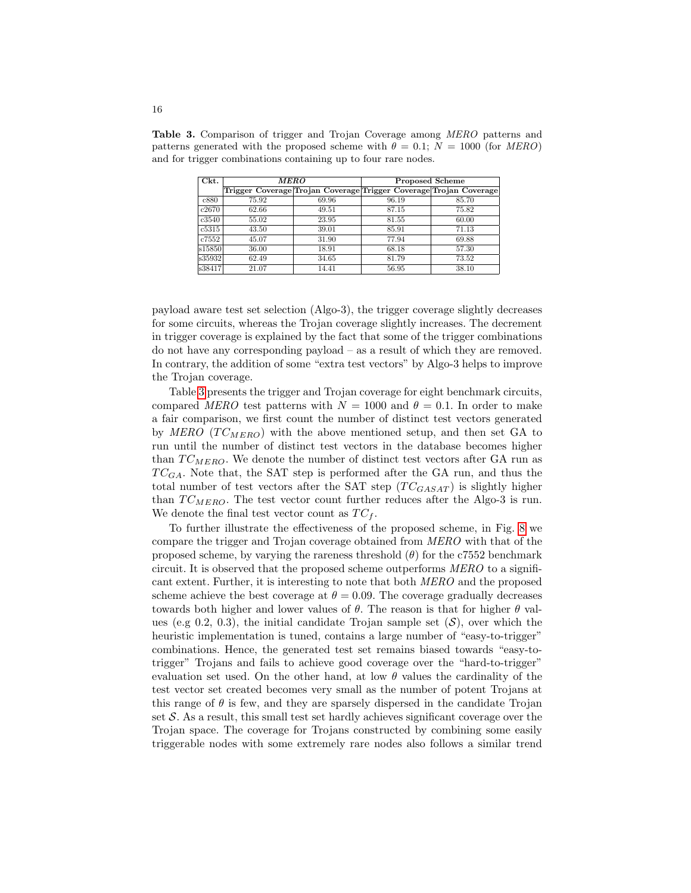| Ckt.   | <b>MERO</b>                                                       |       | <b>Proposed Scheme</b> |       |  |
|--------|-------------------------------------------------------------------|-------|------------------------|-------|--|
|        | Trigger Coverage Trojan Coverage Trigger Coverage Trojan Coverage |       |                        |       |  |
| c880   | 75.92                                                             | 69.96 | 96.19                  | 85.70 |  |
| c2670  | 62.66                                                             | 49.51 | 87.15                  | 75.82 |  |
| c3540  | 55.02                                                             | 23.95 | 81.55                  | 60.00 |  |
| c5315  | 43.50                                                             | 39.01 | 85.91                  | 71.13 |  |
| c7552  | 45.07                                                             | 31.90 | 77.94                  | 69.88 |  |
| s15850 | 36.00                                                             | 18.91 | 68.18                  | 57.30 |  |
| s35932 | 62.49                                                             | 34.65 | 81.79                  | 73.52 |  |
| s38417 | 21.07                                                             | 14.41 | 56.95                  | 38.10 |  |

<span id="page-15-0"></span>Table 3. Comparison of trigger and Trojan Coverage among MERO patterns and patterns generated with the proposed scheme with  $\theta = 0.1$ ;  $N = 1000$  (for MERO) and for trigger combinations containing up to four rare nodes.

payload aware test set selection (Algo-3), the trigger coverage slightly decreases for some circuits, whereas the Trojan coverage slightly increases. The decrement in trigger coverage is explained by the fact that some of the trigger combinations do not have any corresponding payload – as a result of which they are removed. In contrary, the addition of some "extra test vectors" by Algo-3 helps to improve the Trojan coverage.

Table [3](#page-15-0) presents the trigger and Trojan coverage for eight benchmark circuits, compared MERO test patterns with  $N = 1000$  and  $\theta = 0.1$ . In order to make a fair comparison, we first count the number of distinct test vectors generated by  $MERO$  ( $TC_{MERO}$ ) with the above mentioned setup, and then set GA to run until the number of distinct test vectors in the database becomes higher than  $TC_{MERO}$ . We denote the number of distinct test vectors after GA run as  $TC_{GA}$ . Note that, the SAT step is performed after the GA run, and thus the total number of test vectors after the SAT step  $(T C_{GASAT})$  is slightly higher than  $TC_{MERO}$ . The test vector count further reduces after the Algo-3 is run. We denote the final test vector count as  $TC_f$ .

To further illustrate the effectiveness of the proposed scheme, in Fig. [8](#page-16-0) we compare the trigger and Trojan coverage obtained from MERO with that of the proposed scheme, by varying the rareness threshold  $(\theta)$  for the c7552 benchmark circuit. It is observed that the proposed scheme outperforms MERO to a significant extent. Further, it is interesting to note that both MERO and the proposed scheme achieve the best coverage at  $\theta = 0.09$ . The coverage gradually decreases towards both higher and lower values of  $\theta$ . The reason is that for higher  $\theta$  values (e.g 0.2, 0.3), the initial candidate Trojan sample set  $(S)$ , over which the heuristic implementation is tuned, contains a large number of "easy-to-trigger" combinations. Hence, the generated test set remains biased towards "easy-totrigger" Trojans and fails to achieve good coverage over the "hard-to-trigger" evaluation set used. On the other hand, at low  $\theta$  values the cardinality of the test vector set created becomes very small as the number of potent Trojans at this range of  $\theta$  is few, and they are sparsely dispersed in the candidate Trojan set  $S$ . As a result, this small test set hardly achieves significant coverage over the Trojan space. The coverage for Trojans constructed by combining some easily triggerable nodes with some extremely rare nodes also follows a similar trend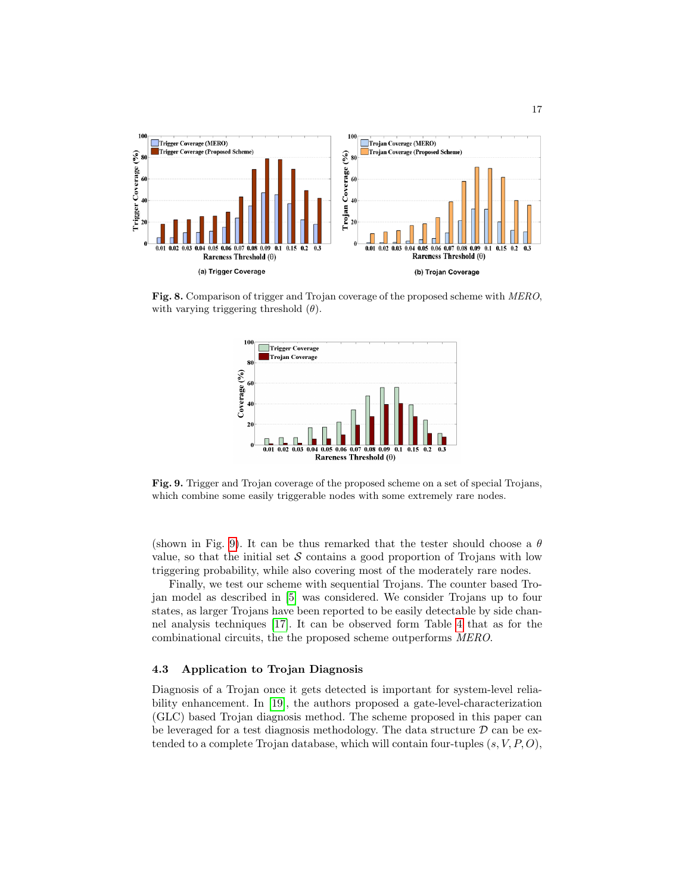

<span id="page-16-0"></span>Fig. 8. Comparison of trigger and Trojan coverage of the proposed scheme with MERO, with varying triggering threshold  $(\theta)$ .



<span id="page-16-1"></span>Fig. 9. Trigger and Trojan coverage of the proposed scheme on a set of special Trojans, which combine some easily triggerable nodes with some extremely rare nodes.

(shown in Fig. [9\)](#page-16-1). It can be thus remarked that the tester should choose a  $\theta$ value, so that the initial set  $S$  contains a good proportion of Trojans with low triggering probability, while also covering most of the moderately rare nodes.

Finally, we test our scheme with sequential Trojans. The counter based Trojan model as described in [\[5\]](#page-18-5) was considered. We consider Trojans up to four states, as larger Trojans have been reported to be easily detectable by side channel analysis techniques [\[17\]](#page-18-4). It can be observed form Table [4](#page-17-1) that as for the combinational circuits, the the proposed scheme outperforms MERO.

#### 4.3 Application to Trojan Diagnosis

Diagnosis of a Trojan once it gets detected is important for system-level reliability enhancement. In [\[19\]](#page-19-0), the authors proposed a gate-level-characterization (GLC) based Trojan diagnosis method. The scheme proposed in this paper can be leveraged for a test diagnosis methodology. The data structure  $D$  can be extended to a complete Trojan database, which will contain four-tuples  $(s, V, P, O)$ ,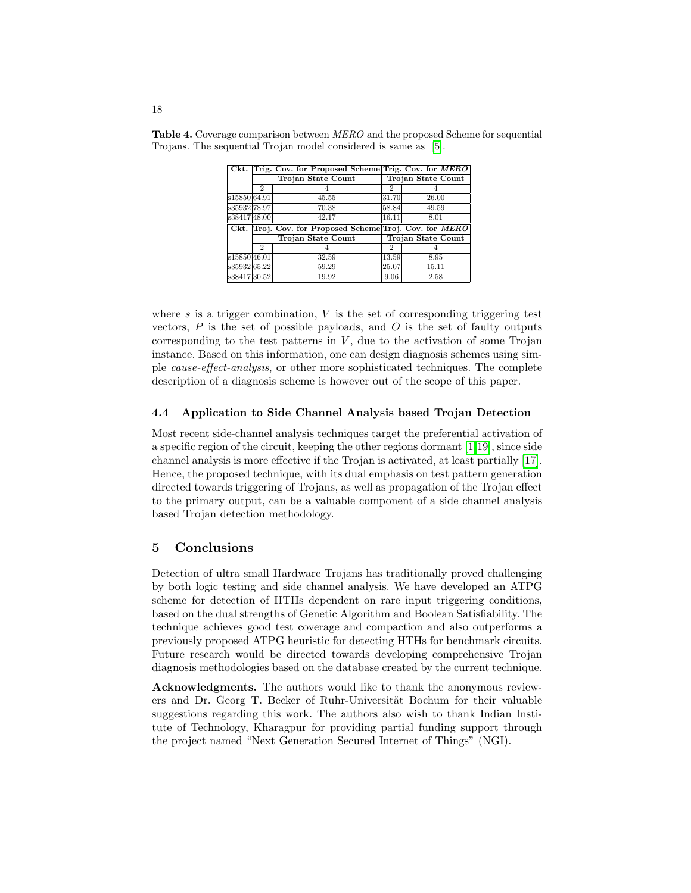|              |                    | Ckt. Trig. Cov. for Proposed Scheme Trig. Cov. for $MERO$ |                    |                    |  |
|--------------|--------------------|-----------------------------------------------------------|--------------------|--------------------|--|
|              | Trojan State Count |                                                           | Trojan State Count |                    |  |
|              | $\overline{2}$     |                                                           | 2                  |                    |  |
| s15850 64.91 |                    | 45.55                                                     | 31.70              | 26.00              |  |
| s35932 78.97 |                    | 70.38                                                     | 58.84              | 49.59              |  |
| s38417 48.00 |                    | 42.17                                                     | 16.11              | 8.01               |  |
|              |                    |                                                           |                    |                    |  |
|              |                    | Ckt. Troj. Cov. for Proposed Scheme Troj. Cov. for MERO   |                    |                    |  |
|              |                    | Trojan State Count                                        |                    | Trojan State Count |  |
|              | 2                  |                                                           | 2                  |                    |  |
| s15850 46.01 |                    | 32.59                                                     | 13.59              | 8.95               |  |
| s35932 65.22 |                    | 59.29                                                     | 25.07              | 15.11              |  |

<span id="page-17-1"></span>Table 4. Coverage comparison between MERO and the proposed Scheme for sequential Trojans. The sequential Trojan model considered is same as [\[5\]](#page-18-5).

where  $s$  is a trigger combination,  $V$  is the set of corresponding triggering test vectors,  $P$  is the set of possible payloads, and  $O$  is the set of faulty outputs corresponding to the test patterns in  $V$ , due to the activation of some Trojan instance. Based on this information, one can design diagnosis schemes using simple cause-effect-analysis, or other more sophisticated techniques. The complete description of a diagnosis scheme is however out of the scope of this paper.

#### 4.4 Application to Side Channel Analysis based Trojan Detection

Most recent side-channel analysis techniques target the preferential activation of a specific region of the circuit, keeping the other regions dormant [\[1,](#page-18-16)[19\]](#page-19-0), since side channel analysis is more effective if the Trojan is activated, at least partially [\[17\]](#page-18-4). Hence, the proposed technique, with its dual emphasis on test pattern generation directed towards triggering of Trojans, as well as propagation of the Trojan effect to the primary output, can be a valuable component of a side channel analysis based Trojan detection methodology.

# <span id="page-17-0"></span>5 Conclusions

Detection of ultra small Hardware Trojans has traditionally proved challenging by both logic testing and side channel analysis. We have developed an ATPG scheme for detection of HTHs dependent on rare input triggering conditions, based on the dual strengths of Genetic Algorithm and Boolean Satisfiability. The technique achieves good test coverage and compaction and also outperforms a previously proposed ATPG heuristic for detecting HTHs for benchmark circuits. Future research would be directed towards developing comprehensive Trojan diagnosis methodologies based on the database created by the current technique.

Acknowledgments. The authors would like to thank the anonymous reviewers and Dr. Georg T. Becker of Ruhr-Universität Bochum for their valuable suggestions regarding this work. The authors also wish to thank Indian Institute of Technology, Kharagpur for providing partial funding support through the project named "Next Generation Secured Internet of Things" (NGI).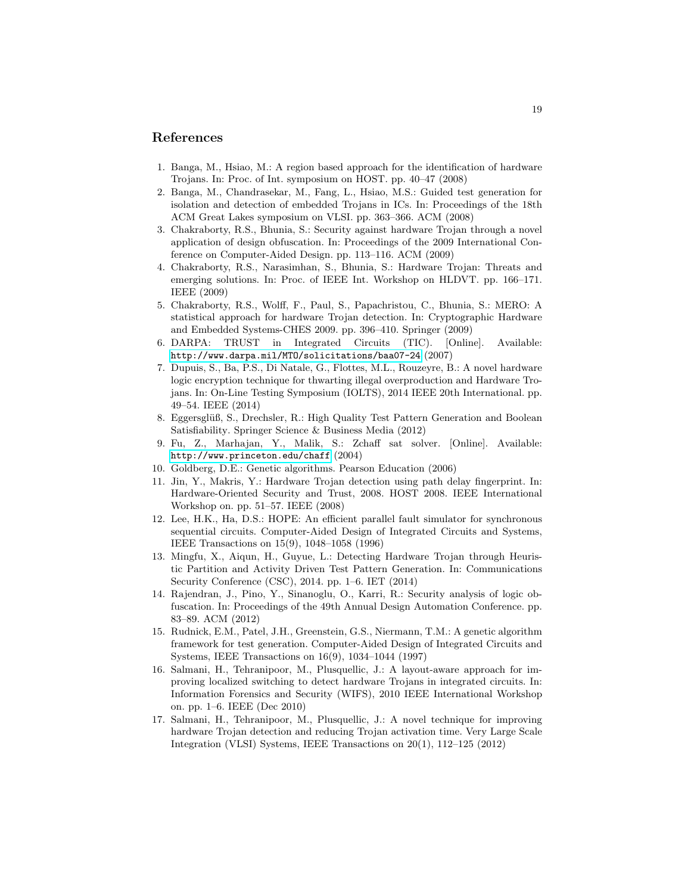## References

- <span id="page-18-16"></span>1. Banga, M., Hsiao, M.: A region based approach for the identification of hardware Trojans. In: Proc. of Int. symposium on HOST. pp. 40–47 (2008)
- <span id="page-18-6"></span>2. Banga, M., Chandrasekar, M., Fang, L., Hsiao, M.S.: Guided test generation for isolation and detection of embedded Trojans in ICs. In: Proceedings of the 18th ACM Great Lakes symposium on VLSI. pp. 363–366. ACM (2008)
- <span id="page-18-8"></span>3. Chakraborty, R.S., Bhunia, S.: Security against hardware Trojan through a novel application of design obfuscation. In: Proceedings of the 2009 International Conference on Computer-Aided Design. pp. 113–116. ACM (2009)
- <span id="page-18-1"></span>4. Chakraborty, R.S., Narasimhan, S., Bhunia, S.: Hardware Trojan: Threats and emerging solutions. In: Proc. of IEEE Int. Workshop on HLDVT. pp. 166–171. IEEE (2009)
- <span id="page-18-5"></span>5. Chakraborty, R.S., Wolff, F., Paul, S., Papachristou, C., Bhunia, S.: MERO: A statistical approach for hardware Trojan detection. In: Cryptographic Hardware and Embedded Systems-CHES 2009. pp. 396–410. Springer (2009)
- <span id="page-18-0"></span>6. DARPA: TRUST in Integrated Circuits (TIC). [Online]. Available: <http://www.darpa.mil/MTO/solicitations/baa07-24> (2007)
- <span id="page-18-9"></span>7. Dupuis, S., Ba, P.S., Di Natale, G., Flottes, M.L., Rouzeyre, B.: A novel hardware logic encryption technique for thwarting illegal overproduction and Hardware Trojans. In: On-Line Testing Symposium (IOLTS), 2014 IEEE 20th International. pp. 49–54. IEEE (2014)
- <span id="page-18-12"></span>8. Eggersglüß, S., Drechsler, R.: High Quality Test Pattern Generation and Boolean Satisfiability. Springer Science & Business Media (2012)
- <span id="page-18-15"></span>9. Fu, Z., Marhajan, Y., Malik, S.: Zchaff sat solver. [Online]. Available: <http://www.princeton.edu/chaff> (2004)
- <span id="page-18-13"></span>10. Goldberg, D.E.: Genetic algorithms. Pearson Education (2006)
- <span id="page-18-7"></span>11. Jin, Y., Makris, Y.: Hardware Trojan detection using path delay fingerprint. In: Hardware-Oriented Security and Trust, 2008. HOST 2008. IEEE International Workshop on. pp. 51–57. IEEE (2008)
- <span id="page-18-14"></span>12. Lee, H.K., Ha, D.S.: HOPE: An efficient parallel fault simulator for synchronous sequential circuits. Computer-Aided Design of Integrated Circuits and Systems, IEEE Transactions on 15(9), 1048–1058 (1996)
- <span id="page-18-2"></span>13. Mingfu, X., Aiqun, H., Guyue, L.: Detecting Hardware Trojan through Heuristic Partition and Activity Driven Test Pattern Generation. In: Communications Security Conference (CSC), 2014. pp. 1–6. IET (2014)
- <span id="page-18-10"></span>14. Rajendran, J., Pino, Y., Sinanoglu, O., Karri, R.: Security analysis of logic obfuscation. In: Proceedings of the 49th Annual Design Automation Conference. pp. 83–89. ACM (2012)
- <span id="page-18-11"></span>15. Rudnick, E.M., Patel, J.H., Greenstein, G.S., Niermann, T.M.: A genetic algorithm framework for test generation. Computer-Aided Design of Integrated Circuits and Systems, IEEE Transactions on 16(9), 1034–1044 (1997)
- <span id="page-18-3"></span>16. Salmani, H., Tehranipoor, M., Plusquellic, J.: A layout-aware approach for improving localized switching to detect hardware Trojans in integrated circuits. In: Information Forensics and Security (WIFS), 2010 IEEE International Workshop on. pp. 1–6. IEEE (Dec 2010)
- <span id="page-18-4"></span>17. Salmani, H., Tehranipoor, M., Plusquellic, J.: A novel technique for improving hardware Trojan detection and reducing Trojan activation time. Very Large Scale Integration (VLSI) Systems, IEEE Transactions on 20(1), 112–125 (2012)